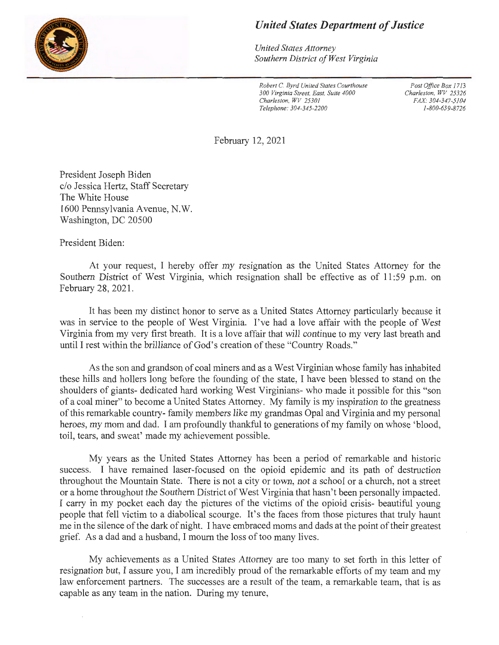

## *United States Department of Justice*

*United States Attorney Southern District of West Virginia* 

*Robert* C. *Byrd United States Courthouse 300 Virginia Street, East, Suite 4000 Charleston, WV 25301 Telephone: 304-345-2200* 

*Post Office Box 1713 Charleston, WV 25326 FAX: 304-347-5104 1-800-659-8726* 

February 12, 2021

President Joseph Biden c/o Jessica Hertz, Staff Secretary The White House 1600 Pennsylvania Avenue, N.W. Washington, DC 20500

President Biden:

At your request, I hereby offer my resignation as the United States Attorney for the Southern District of West Virginia, which resignation shall be effective as of 11 :59 p.m. on February 28, 2021.

It has been my distinct honor to serve as a United States Attorney particularly because it was in service to the people of West Virginia. I've had a love affair with the people of West Virginia from my very first breath. It is a love affair that will continue to my very last breath and until I rest within the brilliance of God's creation of these "Country Roads. "

As the son and grandson of coal miners and as a West Virginian whose family has inhabited these hills and hollers long before the founding of the state, I have been blessed to stand on the shoulders of giants- dedicated hard working West Virginians- who made it possible for this "son of a coal miner" to become a United States Attorney. My family is my inspiration to the greatness of this remarkable country- family members like my grandmas Opal and Virginia and my personal heroes, my mom and dad. I am profoundly thankful to generations of my family on whose 'blood, toil, tears, and sweat' made my achievement possible.

My years as the United States Attorney has been a period of remarkable and historic success. I have remained laser-focused on the opioid epidemic and its path of destruction throughout the Mountain State. There is not a city or town, not a school or a church, not a street or a home throughout the Southern District of West Virginia that hasn't been personally impacted. I carry in my pocket each day the pictures of the victims of the opioid crisis- beautiful young people that fell victim to a diabolical scourge. It's the faces from those pictures that truly haunt me in the silence of the dark of night. I have embraced moms and dads at the point of their greatest grief. As a dad and a husband, I mourn the loss of too many lives.

My achievements as a United States Attorney are too many to set forth in this letter of resignation but, I assure you, I am incredibly proud of the remarkable efforts of my team and my law enforcement partners. The successes are a result of the team, a remarkable team, that is as capable as any team in the nation. During my tenure,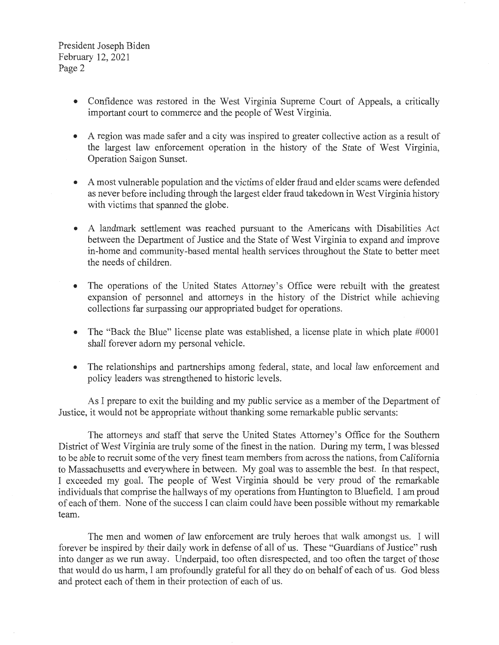President Joseph Biden February 12, 2021 Page 2

- Confidence was restored in the West Virginia Supreme Court of Appeals, a critically important court to commerce and the people of West Virginia.
- A region was made safer and a city was inspired to greater collective action as a result of the largest law enforcement operation in the history of the State of West Virginia, Operation Saigon Sunset.
- A most vulnerable population and the victims of elder fraud and elder scams were defended as never before including through the largest elder fraud takedown in West Virginia history with victims that spanned the globe.
- A landmark settlement was reached pursuant to the Americans with Disabilities Act between the Department of Justice and the State of West Virginia to expand and improve in-home and community-based mental health services throughout the State to better meet the needs of children.
- The operations of the United States Attorney's Office were rebuilt with the greatest expansion of personnel and attorneys in the history of the District while achieving collections far surpassing our appropriated budget for operations.
- The "Back the Blue" license plate was established, a license plate in which plate #0001 shall forever adorn my personal vehicle.
- The relationships and partnerships among federal, state, and local law enforcement and policy leaders was strengthened to historic levels.

As I prepare to exit the building and my public service as a member of the Department of Justice, it would not be appropriate without thanking some remarkable public servants:

The attorneys and staff that serve the United States Attorney's Office for the Southern District of West Virginia are truly some of the finest in the nation. During my term, I was blessed to be able to recruit some of the very finest team members from across the nations, from California to Massachusetts and everywhere in between. My goal was to assemble the best. In that respect, I exceeded my goal. The people of West Virginia should be very proud of the remarkable individuals that comprise the hallways of my operations from Huntington to Bluefield. I am proud of each of them. None of the success I can claim could have been possible without my remarkable team.

The men and women of law enforcement are truly heroes that walk amongst us. I will forever be inspired by their daily work in defense of all of us. These "Guardians of Justice" rush into danger as we run away. Underpaid, too often disrespected, and too often the target of those that would do us harm, I am profoundly grateful for all they do on behalf of each of us. God bless and protect each of them in their protection of each of us.